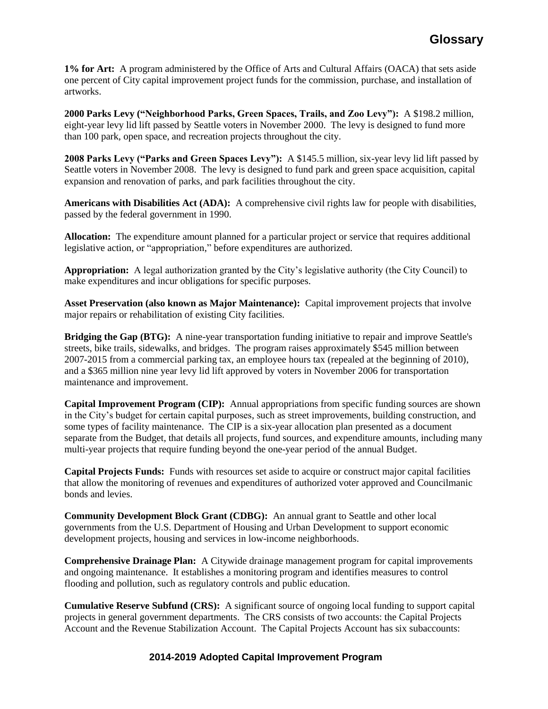**1% for Art:** A program administered by the Office of Arts and Cultural Affairs (OACA) that sets aside one percent of City capital improvement project funds for the commission, purchase, and installation of artworks.

**2000 Parks Levy ("Neighborhood Parks, Green Spaces, Trails, and Zoo Levy"):** A \$198.2 million, eight-year levy lid lift passed by Seattle voters in November 2000. The levy is designed to fund more than 100 park, open space, and recreation projects throughout the city.

**2008 Parks Levy ("Parks and Green Spaces Levy"):** A \$145.5 million, six-year levy lid lift passed by Seattle voters in November 2008. The levy is designed to fund park and green space acquisition, capital expansion and renovation of parks, and park facilities throughout the city.

**Americans with Disabilities Act (ADA):** A comprehensive civil rights law for people with disabilities, passed by the federal government in 1990.

**Allocation:** The expenditure amount planned for a particular project or service that requires additional legislative action, or "appropriation," before expenditures are authorized.

**Appropriation:** A legal authorization granted by the City's legislative authority (the City Council) to make expenditures and incur obligations for specific purposes.

**Asset Preservation (also known as Major Maintenance):** Capital improvement projects that involve major repairs or rehabilitation of existing City facilities.

**Bridging the Gap (BTG):** A nine-year transportation funding initiative to repair and improve Seattle's streets, bike trails, sidewalks, and bridges. The program raises approximately \$545 million between 2007-2015 from a commercial parking tax, an employee hours tax (repealed at the beginning of 2010), and a \$365 million nine year levy lid lift approved by voters in November 2006 for transportation maintenance and improvement.

**Capital Improvement Program (CIP):** Annual appropriations from specific funding sources are shown in the City's budget for certain capital purposes, such as street improvements, building construction, and some types of facility maintenance. The CIP is a six-year allocation plan presented as a document separate from the Budget, that details all projects, fund sources, and expenditure amounts, including many multi-year projects that require funding beyond the one-year period of the annual Budget.

**Capital Projects Funds:** Funds with resources set aside to acquire or construct major capital facilities that allow the monitoring of revenues and expenditures of authorized voter approved and Councilmanic bonds and levies.

**Community Development Block Grant (CDBG):** An annual grant to Seattle and other local governments from the U.S. Department of Housing and Urban Development to support economic development projects, housing and services in low-income neighborhoods.

**Comprehensive Drainage Plan:** A Citywide drainage management program for capital improvements and ongoing maintenance. It establishes a monitoring program and identifies measures to control flooding and pollution, such as regulatory controls and public education.

**Cumulative Reserve Subfund (CRS):** A significant source of ongoing local funding to support capital projects in general government departments. The CRS consists of two accounts: the Capital Projects Account and the Revenue Stabilization Account. The Capital Projects Account has six subaccounts:

## **2014-2019 Adopted Capital Improvement Program**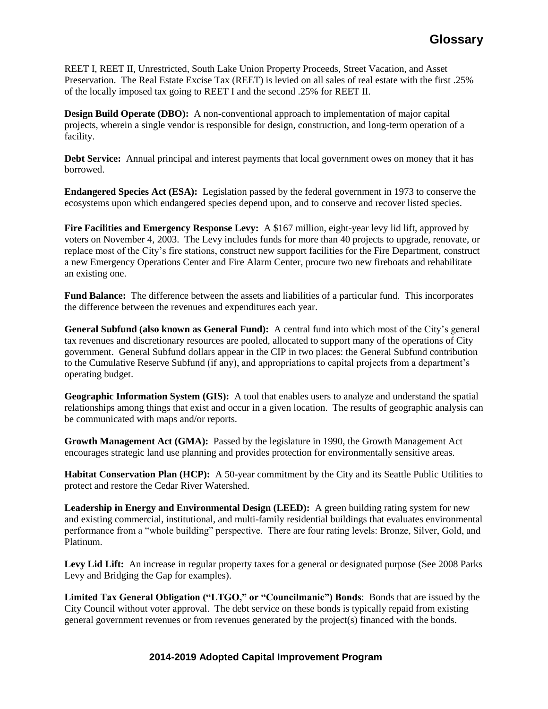REET I, REET II, Unrestricted, South Lake Union Property Proceeds, Street Vacation, and Asset Preservation. The Real Estate Excise Tax (REET) is levied on all sales of real estate with the first .25% of the locally imposed tax going to REET I and the second .25% for REET II.

**Design Build Operate (DBO):** A non-conventional approach to implementation of major capital projects, wherein a single vendor is responsible for design, construction, and long-term operation of a facility.

**Debt Service:** Annual principal and interest payments that local government owes on money that it has borrowed.

**Endangered Species Act (ESA):** Legislation passed by the federal government in 1973 to conserve the ecosystems upon which endangered species depend upon, and to conserve and recover listed species.

**Fire Facilities and Emergency Response Levy:** A \$167 million, eight-year levy lid lift, approved by voters on November 4, 2003. The Levy includes funds for more than 40 projects to upgrade, renovate, or replace most of the City's fire stations, construct new support facilities for the Fire Department, construct a new Emergency Operations Center and Fire Alarm Center, procure two new fireboats and rehabilitate an existing one.

**Fund Balance:** The difference between the assets and liabilities of a particular fund. This incorporates the difference between the revenues and expenditures each year.

**General Subfund (also known as General Fund):** A central fund into which most of the City's general tax revenues and discretionary resources are pooled, allocated to support many of the operations of City government. General Subfund dollars appear in the CIP in two places: the General Subfund contribution to the Cumulative Reserve Subfund (if any), and appropriations to capital projects from a department's operating budget.

**Geographic Information System (GIS):** A tool that enables users to analyze and understand the spatial relationships among things that exist and occur in a given location. The results of geographic analysis can be communicated with maps and/or reports.

**Growth Management Act (GMA):** Passed by the legislature in 1990, the Growth Management Act encourages strategic land use planning and provides protection for environmentally sensitive areas.

**Habitat Conservation Plan (HCP):** A 50-year commitment by the City and its Seattle Public Utilities to protect and restore the Cedar River Watershed.

**Leadership in Energy and Environmental Design (LEED):** A green building rating system for new and existing commercial, institutional, and multi-family residential buildings that evaluates environmental performance from a "whole building" perspective. There are four rating levels: Bronze, Silver, Gold, and Platinum.

Levy Lid Lift: An increase in regular property taxes for a general or designated purpose (See 2008 Parks) Levy and Bridging the Gap for examples).

**Limited Tax General Obligation ("LTGO," or "Councilmanic") Bonds**: Bonds that are issued by the City Council without voter approval. The debt service on these bonds is typically repaid from existing general government revenues or from revenues generated by the project(s) financed with the bonds.